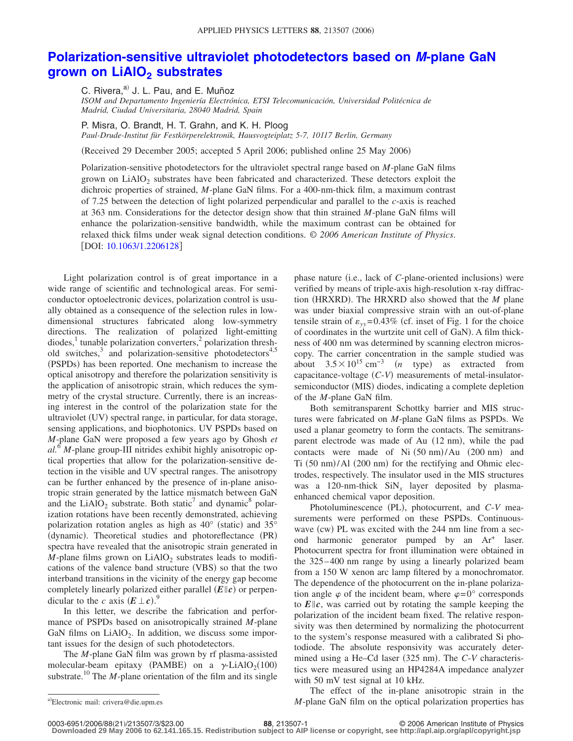## **[Polarization-sensitive ultraviolet photodetectors based on](http://dx.doi.org/10.1063/1.2206128)** *M***-plane GaN grown on LiAIO<sub>2</sub> substrates**

C. Rivera,<sup>a)</sup> J. L. Pau, and E. Muñoz

*ISOM and Departamento Ingeniería Electrónica, ETSI Telecomunicación, Universidad Politécnica de Madrid, Ciudad Universitaria, 28040 Madrid, Spain*

P. Misra, O. Brandt, H. T. Grahn, and K. H. Ploog

*Paul-Drude-Institut für Festkörperelektronik, Hausvogteiplatz 5-7, 10117 Berlin, Germany*

(Received 29 December 2005; accepted 5 April 2006; published online 25 May 2006)

Polarization-sensitive photodetectors for the ultraviolet spectral range based on *M*-plane GaN films grown on LiAlO<sub>2</sub> substrates have been fabricated and characterized. These detectors exploit the dichroic properties of strained, *M*-plane GaN films. For a 400-nm-thick film, a maximum contrast of 7.25 between the detection of light polarized perpendicular and parallel to the *c*-axis is reached at 363 nm. Considerations for the detector design show that thin strained *M*-plane GaN films will enhance the polarization-sensitive bandwidth, while the maximum contrast can be obtained for relaxed thick films under weak signal detection conditions. © *2006 American Institute of Physics*. [DOI: [10.1063/1.2206128](http://dx.doi.org/10.1063/1.2206128)]

Light polarization control is of great importance in a wide range of scientific and technological areas. For semiconductor optoelectronic devices, polarization control is usually obtained as a consequence of the selection rules in lowdimensional structures fabricated along low-symmetry directions. The realization of polarized light-emitting  $diodes<sup>1</sup>$  tunable polarization converters,<sup>2</sup> polarization threshold switches, $3$  and polarization-sensitive photodetectors<sup>4,5</sup> (PSPDs) has been reported. One mechanism to increase the optical anisotropy and therefore the polarization sensitivity is the application of anisotropic strain, which reduces the symmetry of the crystal structure. Currently, there is an increasing interest in the control of the polarization state for the ultraviolet (UV) spectral range, in particular, for data storage, sensing applications, and biophotonics. UV PSPDs based on *M*-plane GaN were proposed a few years ago by Ghosh *et al.*<sup>6</sup> *M*-plane group-III nitrides exhibit highly anisotropic optical properties that allow for the polarization-sensitive detection in the visible and UV spectral ranges. The anisotropy can be further enhanced by the presence of in-plane anisotropic strain generated by the lattice mismatch between GaN and the LiAlO<sub>2</sub> substrate. Both static<sup>7</sup> and dynamic<sup>8</sup> polarization rotations have been recently demonstrated, achieving polarization rotation angles as high as  $40^{\circ}$  (static) and  $35^{\circ}$ (dynamic). Theoretical studies and photoreflectance (PR) spectra have revealed that the anisotropic strain generated in *M*-plane films grown on LiAlO<sub>2</sub> substrates leads to modifications of the valence band structure (VBS) so that the two interband transitions in the vicinity of the energy gap become completely linearly polarized either parallel  $(E||c)$  or perpendicular to the *c* axis  $(E \perp c)$ .<sup>9</sup>

In this letter, we describe the fabrication and performance of PSPDs based on anisotropically strained *M*-plane GaN films on  $LiAlO<sub>2</sub>$ . In addition, we discuss some important issues for the design of such photodetectors.

The *M*-plane GaN film was grown by rf plasma-assisted molecular-beam epitaxy (PAMBE) on a  $\gamma$ -LiAlO<sub>2</sub>(100) substrate.<sup>10</sup> The *M*-plane orientation of the film and its single

phase nature (i.e., lack of *C*-plane-oriented inclusions) were verified by means of triple-axis high-resolution x-ray diffraction (HRXRD). The HRXRD also showed that the *M* plane was under biaxial compressive strain with an out-of-plane tensile strain of  $\varepsilon_{yy}$ =0.43% (cf. inset of Fig. 1 for the choice of coordinates in the wurtzite unit cell of GaN). A film thickness of 400 nm was determined by scanning electron microscopy. The carrier concentration in the sample studied was about  $3.5 \times 10^{15}$  cm<sup>-3</sup> (*n* type) as extracted from capacitance-voltage (C-V) measurements of metal-insulatorsemiconductor (MIS) diodes, indicating a complete depletion of the *M*-plane GaN film.

Both semitransparent Schottky barrier and MIS structures were fabricated on *M*-plane GaN films as PSPDs. We used a planar geometry to form the contacts. The semitransparent electrode was made of Au (12 nm), while the pad contacts were made of Ni  $(50 \text{ nm})$ /Au  $(200 \text{ nm})$  and Ti (50 nm)/Al (200 nm) for the rectifying and Ohmic electrodes, respectively. The insulator used in the MIS structures was a 120-nm-thick SiN<sub>x</sub> layer deposited by plasmaenhanced chemical vapor deposition.

Photoluminescence (PL), photocurrent, and  $C-V$  measurements were performed on these PSPDs. Continuouswave (cw) PL was excited with the 244 nm line from a second harmonic generator pumped by an Ar<sup>+</sup> laser. Photocurrent spectra for front illumination were obtained in the 325– 400 nm range by using a linearly polarized beam from a 150 W xenon arc lamp filtered by a monochromator. The dependence of the photocurrent on the in-plane polarization angle  $\varphi$  of the incident beam, where  $\varphi = 0^{\circ}$  corresponds to  $E\|c$ , was carried out by rotating the sample keeping the polarization of the incident beam fixed. The relative responsivity was then determined by normalizing the photocurrent to the system's response measured with a calibrated Si photodiode. The absolute responsivity was accurately determined using a He–Cd laser (325 nm). The C-V characteristics were measured using an HP4284A impedance analyzer with 50 mV test signal at 10 kHz.

The effect of the in-plane anisotropic strain in the  $M$ -plane GaN film on the optical polarization properties has

21/213507/3/\$23.00 © 2006 American Institute of Physics **88**, 213507-1 **Downloaded 29 May 2006 to 62.141.165.15. Redistribution subject to AIP license or copyright, see http://apl.aip.org/apl/copyright.jsp**

Electronic mail: crivera@die.upm.es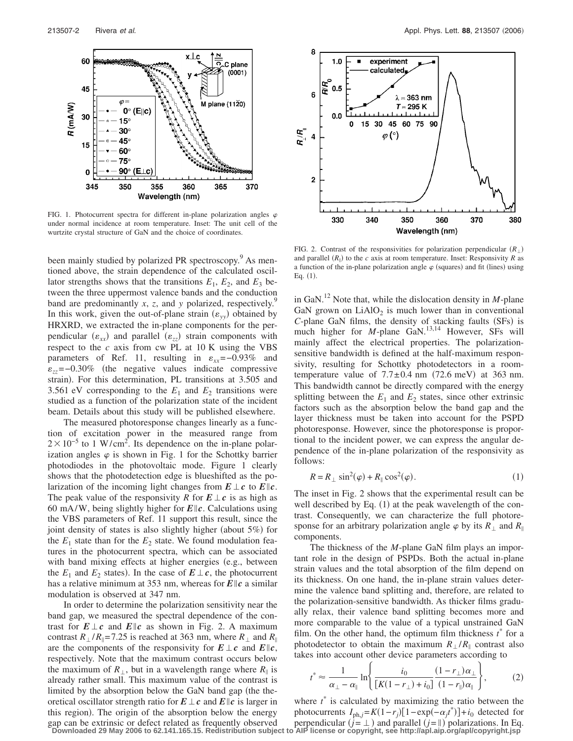

FIG. 1. Photocurrent spectra for different in-plane polarization angles  $\varphi$ under normal incidence at room temperature. Inset: The unit cell of the wurtzite crystal structure of GaN and the choice of coordinates.

been mainly studied by polarized PR spectroscopy.<sup>9</sup> As mentioned above, the strain dependence of the calculated oscillator strengths shows that the transitions  $E_1$ ,  $E_2$ , and  $E_3$  between the three uppermost valence bands and the conduction band are predominantly  $x$ ,  $z$ , and  $y$  polarized, respectively.<sup>5</sup> In this work, given the out-of-plane strain  $(\varepsilon_{yy})$  obtained by HRXRD, we extracted the in-plane components for the perpendicular  $(\varepsilon_{xx})$  and parallel  $(\varepsilon_{zz})$  strain components with respect to the *c* axis from cw PL at 10 K using the VBS parameters of Ref. 11, resulting in  $\varepsilon_{xx}$ =-0.93% and -*zz*=−0.30% the negative values indicate compressive strain). For this determination, PL transitions at 3.505 and 3.561 eV corresponding to the  $E_1$  and  $E_2$  transitions were studied as a function of the polarization state of the incident beam. Details about this study will be published elsewhere.

The measured photoresponse changes linearly as a function of excitation power in the measured range from  $2 \times 10^{-5}$  to 1 W/cm<sup>2</sup>. Its dependence on the in-plane polarization angles  $\varphi$  is shown in Fig. 1 for the Schottky barrier photodiodes in the photovoltaic mode. Figure 1 clearly shows that the photodetection edge is blueshifted as the polarization of the incoming light changes from  $E \perp c$  to  $E \parallel c$ . The peak value of the responsivity *R* for  $E \perp c$  is as high as 60 mA/W, being slightly higher for  $E||c$ . Calculations using the VBS parameters of Ref. 11 support this result, since the joint density of states is also slightly higher (about 5%) for the  $E_1$  state than for the  $E_2$  state. We found modulation features in the photocurrent spectra, which can be associated with band mixing effects at higher energies (e.g., between the  $E_1$  and  $E_2$  states). In the case of  $E \perp c$ , the photocurrent has a relative minimum at 353 nm, whereas for  $E||c$  a similar modulation is observed at 347 nm.

In order to determine the polarization sensitivity near the band gap, we measured the spectral dependence of the contrast for  $E \perp c$  and  $E \| c$  as shown in Fig. 2. A maximum contrast  $R_{\perp}/R_{\parallel}$ =7.25 is reached at 363 nm, where  $R_{\perp}$  and  $R_{\parallel}$ are the components of the responsivity for  $E \perp c$  and  $E \| c$ , respectively. Note that the maximum contrast occurs below the maximum of  $R_{\perp}$ , but in a wavelength range where  $R_{\parallel}$  is already rather small. This maximum value of the contrast is limited by the absorption below the GaN band gap (the theoretical oscillator strength ratio for  $E \perp c$  and  $E || c$  is larger in this region). The origin of the absorption below the energy gap can be extrinsic or defect related as frequently observed



FIG. 2. Contrast of the responsivities for polarization perpendicular  $(R_{\perp})$ and parallel  $(R_{\parallel})$  to the *c* axis at room temperature. Inset: Responsivity *R* as a function of the in-plane polarization angle  $\varphi$  (squares) and fit (lines) using Eq.  $(1)$ .

in GaN.<sup>12</sup> Note that, while the dislocation density in *M*-plane GaN grown on  $LiAlO<sub>2</sub>$  is much lower than in conventional C-plane GaN films, the density of stacking faults (SFs) is much higher for *M*-plane GaN.<sup>13,14</sup> However, SFs will mainly affect the electrical properties. The polarizationsensitive bandwidth is defined at the half-maximum responsivity, resulting for Schottky photodetectors in a roomtemperature value of  $7.7 \pm 0.4$  nm (72.6 meV) at 363 nm. This bandwidth cannot be directly compared with the energy splitting between the  $E_1$  and  $E_2$  states, since other extrinsic factors such as the absorption below the band gap and the layer thickness must be taken into account for the PSPD photoresponse. However, since the photoresponse is proportional to the incident power, we can express the angular dependence of the in-plane polarization of the responsivity as follows:

$$
R = R_{\perp} \sin^2(\varphi) + R_{\parallel} \cos^2(\varphi). \tag{1}
$$

The inset in Fig. 2 shows that the experimental result can be well described by Eq. (1) at the peak wavelength of the contrast. Consequently, we can characterize the full photoresponse for an arbitrary polarization angle  $\varphi$  by its  $R_{\perp}$  and  $R_{\parallel}$ components.

The thickness of the *M*-plane GaN film plays an important role in the design of PSPDs. Both the actual in-plane strain values and the total absorption of the film depend on its thickness. On one hand, the in-plane strain values determine the valence band splitting and, therefore, are related to the polarization-sensitive bandwidth. As thicker films gradually relax, their valence band splitting becomes more and more comparable to the value of a typical unstrained GaN film. On the other hand, the optimum film thickness  $t^*$  for a photodetector to obtain the maximum  $R_1/R$  contrast also takes into account other device parameters according to

$$
t^* \approx \frac{1}{\alpha_\perp - \alpha_\parallel} \ln \left\{ \frac{i_0}{\left[K(1 - r_\perp) + i_0\right]} \frac{(1 - r_\perp)\alpha_\perp}{(1 - r_\parallel)\alpha_\parallel} \right\},\tag{2}
$$

where  $t^*$  is calculated by maximizing the ratio between the photocurrents  $I_{ph,j} = K(1 - r_j)[1 - \exp(-\alpha_j t^*)] + i_0$  detected for perpendicular  $(j = \bot)$  and parallel  $(j = \parallel)$  polarizations. In Eq. **Downloaded 29 May 2006 to 62.141.165.15. Redistribution subject to AIP license or copyright, see http://apl.aip.org/apl/copyright.jsp**